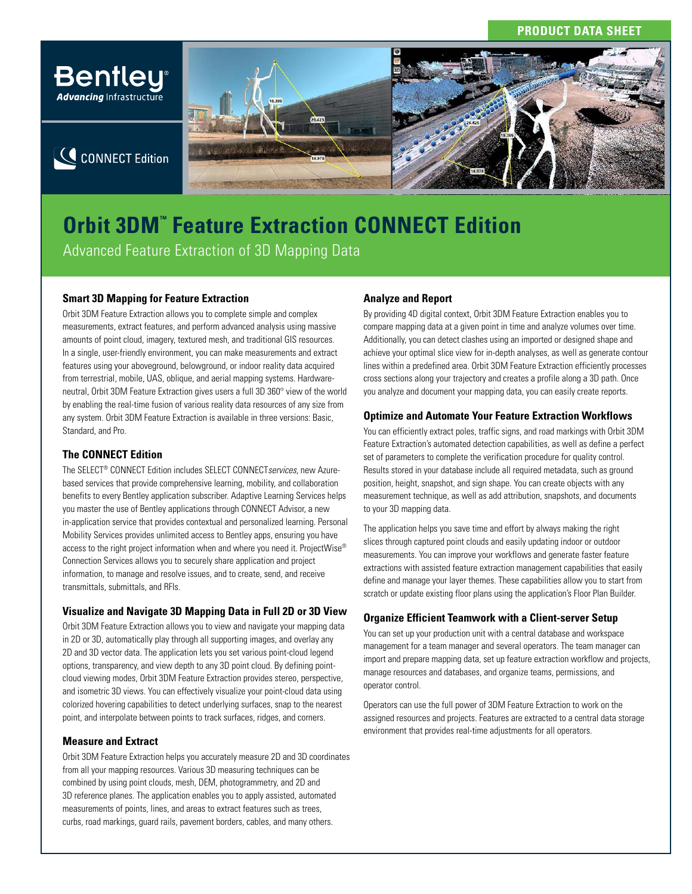## **PRODUCT DATA SHEET**



# **Orbit 3DM<sup>™</sup> Feature Extraction CONNECT Edition** Advanced Feature Extraction of 3D Mapping Data

## **Smart 3D Mapping for Feature Extraction**

Orbit 3DM Feature Extraction allows you to complete simple and complex measurements, extract features, and perform advanced analysis using massive amounts of point cloud, imagery, textured mesh, and traditional GIS resources. In a single, user-friendly environment, you can make measurements and extract features using your aboveground, belowground, or indoor reality data acquired from terrestrial, mobile, UAS, oblique, and aerial mapping systems. Hardwareneutral, Orbit 3DM Feature Extraction gives users a full 3D 360° view of the world by enabling the real-time fusion of various reality data resources of any size from any system. Orbit 3DM Feature Extraction is available in three versions: Basic, Standard, and Pro.

#### **The CONNECT Edition**

The SELECT® CONNECT Edition includes SELECT CONNECT*services*, new Azurebased services that provide comprehensive learning, mobility, and collaboration benefits to every Bentley application subscriber. Adaptive Learning Services helps you master the use of Bentley applications through CONNECT Advisor, a new in-application service that provides contextual and personalized learning. Personal Mobility Services provides unlimited access to Bentley apps, ensuring you have access to the right project information when and where you need it. ProjectWise® Connection Services allows you to securely share application and project information, to manage and resolve issues, and to create, send, and receive transmittals, submittals, and RFIs.

### **Visualize and Navigate 3D Mapping Data in Full 2D or 3D View**

Orbit 3DM Feature Extraction allows you to view and navigate your mapping data in 2D or 3D, automatically play through all supporting images, and overlay any 2D and 3D vector data. The application lets you set various point-cloud legend options, transparency, and view depth to any 3D point cloud. By defining pointcloud viewing modes, Orbit 3DM Feature Extraction provides stereo, perspective, and isometric 3D views. You can effectively visualize your point-cloud data using colorized hovering capabilities to detect underlying surfaces, snap to the nearest point, and interpolate between points to track surfaces, ridges, and corners.

#### **Measure and Extract**

Orbit 3DM Feature Extraction helps you accurately measure 2D and 3D coordinates from all your mapping resources. Various 3D measuring techniques can be combined by using point clouds, mesh, DEM, photogrammetry, and 2D and 3D reference planes. The application enables you to apply assisted, automated measurements of points, lines, and areas to extract features such as trees, curbs, road markings, guard rails, pavement borders, cables, and many others.

#### **Analyze and Report**

By providing 4D digital context, Orbit 3DM Feature Extraction enables you to compare mapping data at a given point in time and analyze volumes over time. Additionally, you can detect clashes using an imported or designed shape and achieve your optimal slice view for in-depth analyses, as well as generate contour lines within a predefined area. Orbit 3DM Feature Extraction efficiently processes cross sections along your trajectory and creates a profile along a 3D path. Once you analyze and document your mapping data, you can easily create reports.

#### **Optimize and Automate Your Feature Extraction Workflows**

You can efficiently extract poles, traffic signs, and road markings with Orbit 3DM Feature Extraction's automated detection capabilities, as well as define a perfect set of parameters to complete the verification procedure for quality control. Results stored in your database include all required metadata, such as ground position, height, snapshot, and sign shape. You can create objects with any measurement technique, as well as add attribution, snapshots, and documents to your 3D mapping data.

The application helps you save time and effort by always making the right slices through captured point clouds and easily updating indoor or outdoor measurements. You can improve your workflows and generate faster feature extractions with assisted feature extraction management capabilities that easily define and manage your layer themes. These capabilities allow you to start from scratch or update existing floor plans using the application's Floor Plan Builder.

#### **Organize Efficient Teamwork with a Client-server Setup**

You can set up your production unit with a central database and workspace management for a team manager and several operators. The team manager can import and prepare mapping data, set up feature extraction workflow and projects, manage resources and databases, and organize teams, permissions, and operator control.

Operators can use the full power of 3DM Feature Extraction to work on the assigned resources and projects. Features are extracted to a central data storage environment that provides real-time adjustments for all operators.